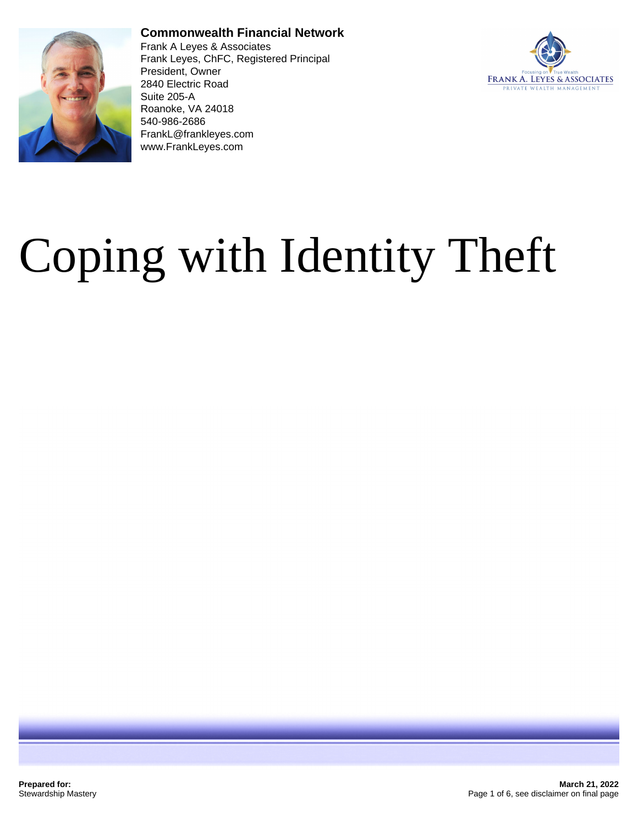

#### **Commonwealth Financial Network**

Frank A Leyes & Associates Frank Leyes, ChFC, Registered Principal President, Owner 2840 Electric Road Suite 205-A Roanoke, VA 24018 540-986-2686 FrankL@frankleyes.com www.FrankLeyes.com



# Coping with Identity Theft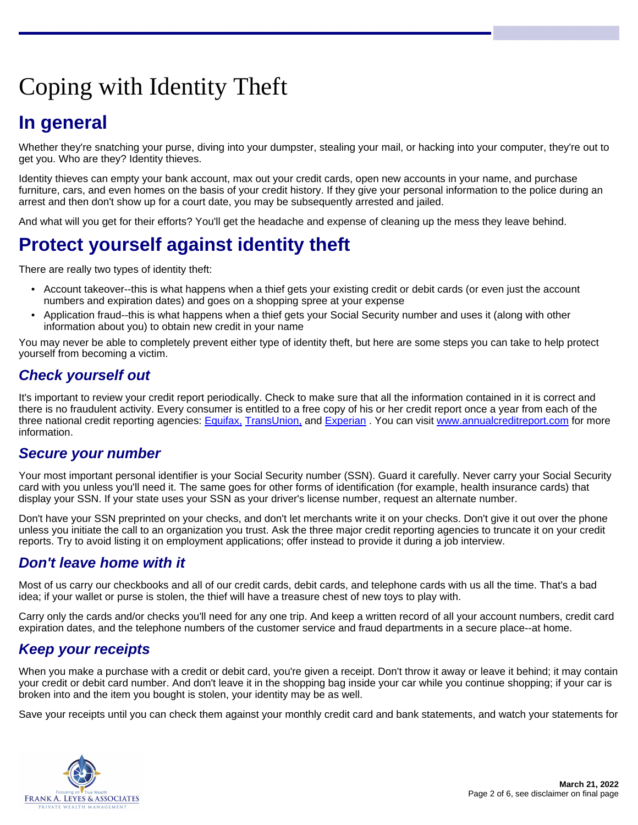## Coping with Identity Theft

## **In general**

Whether they're snatching your purse, diving into your dumpster, stealing your mail, or hacking into your computer, they're out to get you. Who are they? Identity thieves.

Identity thieves can empty your bank account, max out your credit cards, open new accounts in your name, and purchase furniture, cars, and even homes on the basis of your credit history. If they give your personal information to the police during an arrest and then don't show up for a court date, you may be subsequently arrested and jailed.

And what will you get for their efforts? You'll get the headache and expense of cleaning up the mess they leave behind.

## **Protect yourself against identity theft**

There are really two types of identity theft:

- Account takeover--this is what happens when a thief gets your existing credit or debit cards (or even just the account numbers and expiration dates) and goes on a shopping spree at your expense
- Application fraud--this is what happens when a thief gets your Social Security number and uses it (along with other information about you) to obtain new credit in your name

You may never be able to completely prevent either type of identity theft, but here are some steps you can take to help protect yourself from becoming a victim.

#### **Check yourself out**

It's important to review your credit report periodically. Check to make sure that all the information contained in it is correct and there is no fraudulent activity. Every consumer is entitled to a free copy of his or her credit report once a year from each of the three national credit reporting agencies: [Equifax,](http://www.equifax.com) [TransUnion,](http://www.transunion.com) and [Experian](http://www.experian.com) . You can visit [www.annualcreditreport.com](http://www.annualcreditreport.com) for more information.

#### **Secure your number**

Your most important personal identifier is your Social Security number (SSN). Guard it carefully. Never carry your Social Security card with you unless you'll need it. The same goes for other forms of identification (for example, health insurance cards) that display your SSN. If your state uses your SSN as your driver's license number, request an alternate number.

Don't have your SSN preprinted on your checks, and don't let merchants write it on your checks. Don't give it out over the phone unless you initiate the call to an organization you trust. Ask the three major credit reporting agencies to truncate it on your credit reports. Try to avoid listing it on employment applications; offer instead to provide it during a job interview.

#### **Don't leave home with it**

Most of us carry our checkbooks and all of our credit cards, debit cards, and telephone cards with us all the time. That's a bad idea; if your wallet or purse is stolen, the thief will have a treasure chest of new toys to play with.

Carry only the cards and/or checks you'll need for any one trip. And keep a written record of all your account numbers, credit card expiration dates, and the telephone numbers of the customer service and fraud departments in a secure place--at home.

#### **Keep your receipts**

When you make a purchase with a credit or debit card, you're given a receipt. Don't throw it away or leave it behind; it may contain your credit or debit card number. And don't leave it in the shopping bag inside your car while you continue shopping; if your car is broken into and the item you bought is stolen, your identity may be as well.

Save your receipts until you can check them against your monthly credit card and bank statements, and watch your statements for

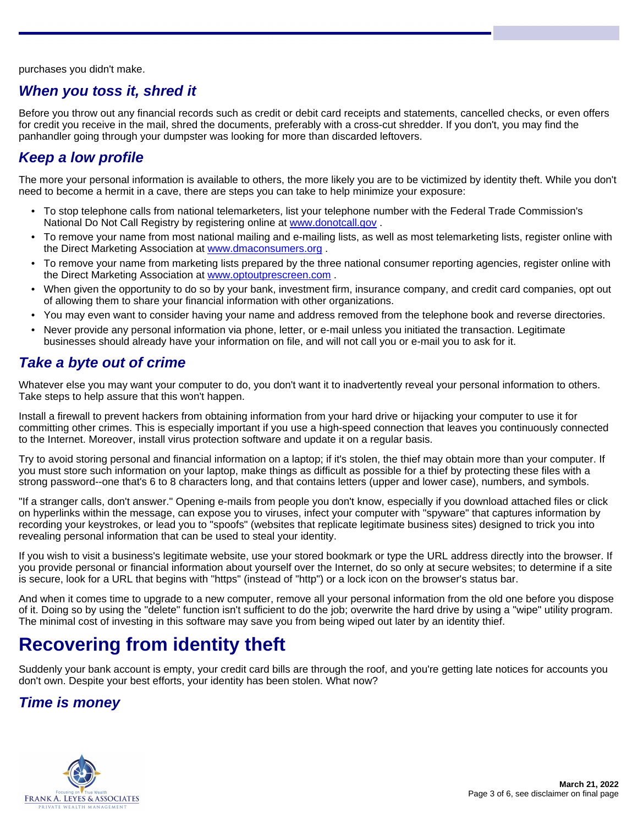purchases you didn't make.

#### **When you toss it, shred it**

Before you throw out any financial records such as credit or debit card receipts and statements, cancelled checks, or even offers for credit you receive in the mail, shred the documents, preferably with a cross-cut shredder. If you don't, you may find the panhandler going through your dumpster was looking for more than discarded leftovers.

#### **Keep a low profile**

The more your personal information is available to others, the more likely you are to be victimized by identity theft. While you don't need to become a hermit in a cave, there are steps you can take to help minimize your exposure:

- To stop telephone calls from national telemarketers, list your telephone number with the Federal Trade Commission's National Do Not Call Registry by registering online at <www.donotcall.gov> .
- To remove your name from most national mailing and e-mailing lists, as well as most telemarketing lists, register online with the Direct Marketing Association at <www.dmaconsumers.org> .
- To remove your name from marketing lists prepared by the three national consumer reporting agencies, register online with the Direct Marketing Association at <www.optoutprescreen.com> .
- When given the opportunity to do so by your bank, investment firm, insurance company, and credit card companies, opt out of allowing them to share your financial information with other organizations.
- You may even want to consider having your name and address removed from the telephone book and reverse directories.
- Never provide any personal information via phone, letter, or e-mail unless you initiated the transaction. Legitimate businesses should already have your information on file, and will not call you or e-mail you to ask for it.

#### **Take a byte out of crime**

Whatever else you may want your computer to do, you don't want it to inadvertently reveal your personal information to others. Take steps to help assure that this won't happen.

Install a firewall to prevent hackers from obtaining information from your hard drive or hijacking your computer to use it for committing other crimes. This is especially important if you use a high-speed connection that leaves you continuously connected to the Internet. Moreover, install virus protection software and update it on a regular basis.

Try to avoid storing personal and financial information on a laptop; if it's stolen, the thief may obtain more than your computer. If you must store such information on your laptop, make things as difficult as possible for a thief by protecting these files with a strong password--one that's 6 to 8 characters long, and that contains letters (upper and lower case), numbers, and symbols.

"If a stranger calls, don't answer." Opening e-mails from people you don't know, especially if you download attached files or click on hyperlinks within the message, can expose you to viruses, infect your computer with "spyware" that captures information by recording your keystrokes, or lead you to "spoofs" (websites that replicate legitimate business sites) designed to trick you into revealing personal information that can be used to steal your identity.

If you wish to visit a business's legitimate website, use your stored bookmark or type the URL address directly into the browser. If you provide personal or financial information about yourself over the Internet, do so only at secure websites; to determine if a site is secure, look for a URL that begins with "https" (instead of "http") or a lock icon on the browser's status bar.

And when it comes time to upgrade to a new computer, remove all your personal information from the old one before you dispose of it. Doing so by using the "delete" function isn't sufficient to do the job; overwrite the hard drive by using a "wipe" utility program. The minimal cost of investing in this software may save you from being wiped out later by an identity thief.

## **Recovering from identity theft**

Suddenly your bank account is empty, your credit card bills are through the roof, and you're getting late notices for accounts you don't own. Despite your best efforts, your identity has been stolen. What now?

#### **Time is money**

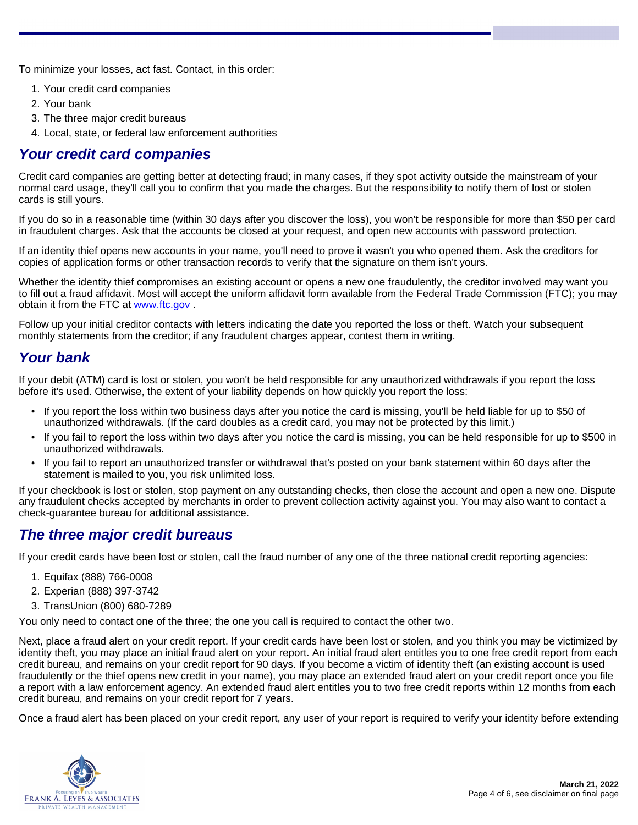To minimize your losses, act fast. Contact, in this order:

- 1. Your credit card companies
- 2. Your bank
- 3. The three major credit bureaus
- 4. Local, state, or federal law enforcement authorities

#### **Your credit card companies**

Credit card companies are getting better at detecting fraud; in many cases, if they spot activity outside the mainstream of your normal card usage, they'll call you to confirm that you made the charges. But the responsibility to notify them of lost or stolen cards is still yours.

If you do so in a reasonable time (within 30 days after you discover the loss), you won't be responsible for more than \$50 per card in fraudulent charges. Ask that the accounts be closed at your request, and open new accounts with password protection.

If an identity thief opens new accounts in your name, you'll need to prove it wasn't you who opened them. Ask the creditors for copies of application forms or other transaction records to verify that the signature on them isn't yours.

Whether the identity thief compromises an existing account or opens a new one fraudulently, the creditor involved may want you to fill out a fraud affidavit. Most will accept the uniform affidavit form available from the Federal Trade Commission (FTC); you may obtain it from the FTC at [www.ftc.gov](www.ftc.gov/bcp/online/pubs/credit/affidavit) .

Follow up your initial creditor contacts with letters indicating the date you reported the loss or theft. Watch your subsequent monthly statements from the creditor; if any fraudulent charges appear, contest them in writing.

#### **Your bank**

If your debit (ATM) card is lost or stolen, you won't be held responsible for any unauthorized withdrawals if you report the loss before it's used. Otherwise, the extent of your liability depends on how quickly you report the loss:

- If you report the loss within two business days after you notice the card is missing, you'll be held liable for up to \$50 of unauthorized withdrawals. (If the card doubles as a credit card, you may not be protected by this limit.)
- If you fail to report the loss within two days after you notice the card is missing, you can be held responsible for up to \$500 in unauthorized withdrawals.
- If you fail to report an unauthorized transfer or withdrawal that's posted on your bank statement within 60 days after the statement is mailed to you, you risk unlimited loss.

If your checkbook is lost or stolen, stop payment on any outstanding checks, then close the account and open a new one. Dispute any fraudulent checks accepted by merchants in order to prevent collection activity against you. You may also want to contact a check-guarantee bureau for additional assistance.

#### **The three major credit bureaus**

If your credit cards have been lost or stolen, call the fraud number of any one of the three national credit reporting agencies:

- 1. Equifax (888) 766-0008
- 2. Experian (888) 397-3742
- 3. TransUnion (800) 680-7289

You only need to contact one of the three; the one you call is required to contact the other two.

Next, place a fraud alert on your credit report. If your credit cards have been lost or stolen, and you think you may be victimized by identity theft, you may place an initial fraud alert on your report. An initial fraud alert entitles you to one free credit report from each credit bureau, and remains on your credit report for 90 days. If you become a victim of identity theft (an existing account is used fraudulently or the thief opens new credit in your name), you may place an extended fraud alert on your credit report once you file a report with a law enforcement agency. An extended fraud alert entitles you to two free credit reports within 12 months from each credit bureau, and remains on your credit report for 7 years.

Once a fraud alert has been placed on your credit report, any user of your report is required to verify your identity before extending

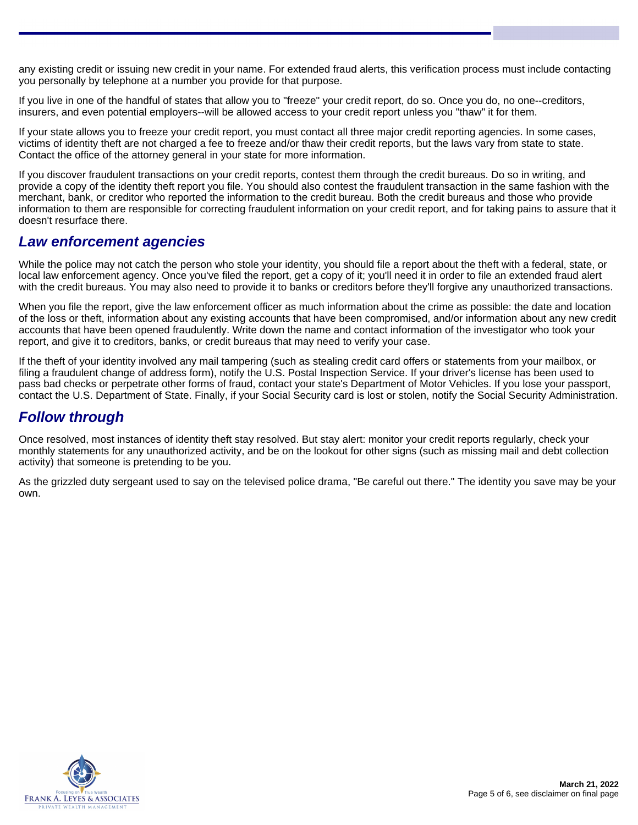any existing credit or issuing new credit in your name. For extended fraud alerts, this verification process must include contacting you personally by telephone at a number you provide for that purpose.

If you live in one of the handful of states that allow you to "freeze" your credit report, do so. Once you do, no one--creditors, insurers, and even potential employers--will be allowed access to your credit report unless you "thaw" it for them.

If your state allows you to freeze your credit report, you must contact all three major credit reporting agencies. In some cases, victims of identity theft are not charged a fee to freeze and/or thaw their credit reports, but the laws vary from state to state. Contact the office of the attorney general in your state for more information.

If you discover fraudulent transactions on your credit reports, contest them through the credit bureaus. Do so in writing, and provide a copy of the identity theft report you file. You should also contest the fraudulent transaction in the same fashion with the merchant, bank, or creditor who reported the information to the credit bureau. Both the credit bureaus and those who provide information to them are responsible for correcting fraudulent information on your credit report, and for taking pains to assure that it doesn't resurface there.

#### **Law enforcement agencies**

While the police may not catch the person who stole your identity, you should file a report about the theft with a federal, state, or local law enforcement agency. Once you've filed the report, get a copy of it; you'll need it in order to file an extended fraud alert with the credit bureaus. You may also need to provide it to banks or creditors before they'll forgive any unauthorized transactions.

When you file the report, give the law enforcement officer as much information about the crime as possible: the date and location of the loss or theft, information about any existing accounts that have been compromised, and/or information about any new credit accounts that have been opened fraudulently. Write down the name and contact information of the investigator who took your report, and give it to creditors, banks, or credit bureaus that may need to verify your case.

If the theft of your identity involved any mail tampering (such as stealing credit card offers or statements from your mailbox, or filing a fraudulent change of address form), notify the U.S. Postal Inspection Service. If your driver's license has been used to pass bad checks or perpetrate other forms of fraud, contact your state's Department of Motor Vehicles. If you lose your passport, contact the U.S. Department of State. Finally, if your Social Security card is lost or stolen, notify the Social Security Administration.

#### **Follow through**

Once resolved, most instances of identity theft stay resolved. But stay alert: monitor your credit reports regularly, check your monthly statements for any unauthorized activity, and be on the lookout for other signs (such as missing mail and debt collection activity) that someone is pretending to be you.

As the grizzled duty sergeant used to say on the televised police drama, "Be careful out there." The identity you save may be your own.